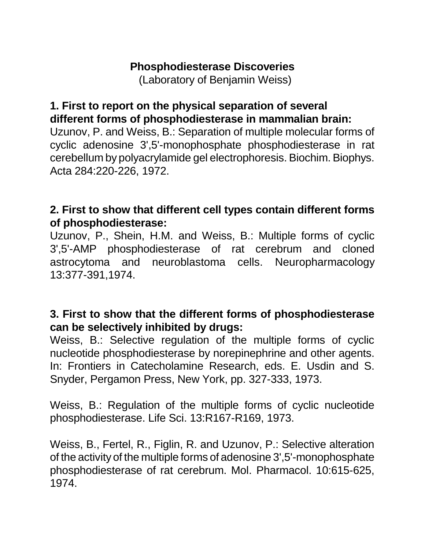# **Phosphodiesterase Discoveries**

(Laboratory of Benjamin Weiss)

## **1. First to report on the physical separation of several different forms of phosphodiesterase in mammalian brain:**

Uzunov, P. and Weiss, B.: Separation of multiple molecular forms of cyclic adenosine 3',5'-monophosphate phosphodiesterase in rat cerebellum by polyacrylamide gel electrophoresis. Biochim. Biophys. Acta 284:220-226, 1972.

# **2. First to show that different cell types contain different forms of phosphodiesterase:**

Uzunov, P., Shein, H.M. and Weiss, B.: Multiple forms of cyclic 3',5'-AMP phosphodiesterase of rat cerebrum and cloned astrocytoma and neuroblastoma cells. Neuropharmacology 13:377-391,1974.

## **3. First to show that the different forms of phosphodiesterase can be selectively inhibited by drugs:**

Weiss, B.: Selective regulation of the multiple forms of cyclic nucleotide phosphodiesterase by norepinephrine and other agents. In: Frontiers in Catecholamine Research, eds. E. Usdin and S. Snyder, Pergamon Press, New York, pp. 327-333, 1973.

Weiss, B.: Regulation of the multiple forms of cyclic nucleotide phosphodiesterase. Life Sci. 13:R167-R169, 1973.

Weiss, B., Fertel, R., Figlin, R. and Uzunov, P.: Selective alteration of the activity of the multiple forms of adenosine 3',5'-monophosphate phosphodiesterase of rat cerebrum. Mol. Pharmacol. 10:615-625, 1974.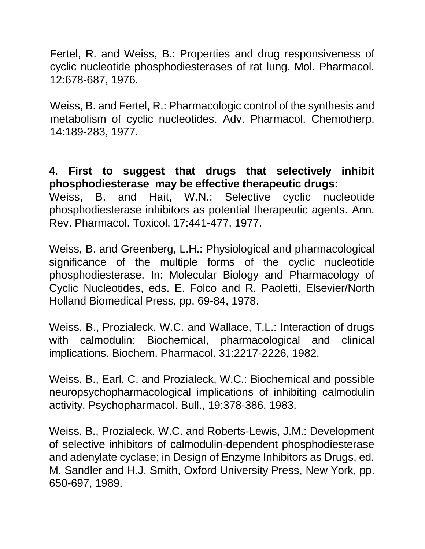Fertel, R. and Weiss, B.: Properties and drug responsiveness of cyclic nucleotide phosphodiesterases of rat lung. Mol. Pharmacol. 12:678-687, 1976.

Weiss, B. and Fertel, R.: Pharmacologic control of the synthesis and metabolism of cyclic nucleotides. Adv. Pharmacol. Chemotherp. 14:189-283, 1977.

**4**. **First to suggest that drugs that selectively inhibit phosphodiesterase may be effective therapeutic drugs:** Weiss, B. and Hait, W.N.: Selective cyclic nucleotide phosphodiesterase inhibitors as potential therapeutic agents. Ann. Rev. Pharmacol. Toxicol. 17:441-477, 1977.

Weiss, B. and Greenberg, L.H.: Physiological and pharmacological significance of the multiple forms of the cyclic nucleotide phosphodiesterase. In: Molecular Biology and Pharmacology of Cyclic Nucleotides, eds. E. Folco and R. Paoletti, Elsevier/North Holland Biomedical Press, pp. 69-84, 1978.

Weiss, B., Prozialeck, W.C. and Wallace, T.L.: Interaction of drugs with calmodulin: Biochemical, pharmacological and clinical implications. Biochem. Pharmacol. 31:2217-2226, 1982.

Weiss, B., Earl, C. and Prozialeck, W.C.: Biochemical and possible neuropsychopharmacological implications of inhibiting calmodulin activity. Psychopharmacol. Bull., 19:378-386, 1983.

Weiss, B., Prozialeck, W.C. and Roberts-Lewis, J.M.: Development of selective inhibitors of calmodulin-dependent phosphodiesterase and adenylate cyclase; in Design of Enzyme Inhibitors as Drugs, ed. M. Sandler and H.J. Smith, Oxford University Press, New York, pp. 650-697, 1989.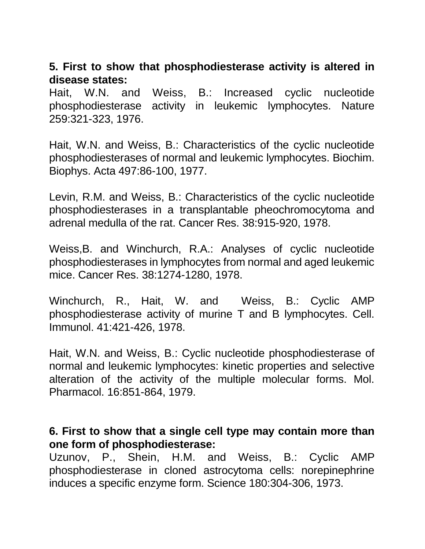## **5. First to show that phosphodiesterase activity is altered in disease states:**

Hait, W.N. and Weiss, B.: Increased cyclic nucleotide phosphodiesterase activity in leukemic lymphocytes. Nature 259:321-323, 1976.

Hait, W.N. and Weiss, B.: Characteristics of the cyclic nucleotide phosphodiesterases of normal and leukemic lymphocytes. Biochim. Biophys. Acta 497:86-100, 1977.

Levin, R.M. and Weiss, B.: Characteristics of the cyclic nucleotide phosphodiesterases in a transplantable pheochromocytoma and adrenal medulla of the rat. Cancer Res. 38:915-920, 1978.

Weiss,B. and Winchurch, R.A.: Analyses of cyclic nucleotide phosphodiesterases in lymphocytes from normal and aged leukemic mice. Cancer Res. 38:1274-1280, 1978.

Winchurch, R., Hait, W. and Weiss, B.: Cyclic AMP phosphodiesterase activity of murine T and B lymphocytes. Cell. Immunol. 41:421-426, 1978.

Hait, W.N. and Weiss, B.: Cyclic nucleotide phosphodiesterase of normal and leukemic lymphocytes: kinetic properties and selective alteration of the activity of the multiple molecular forms. Mol. Pharmacol. 16:851-864, 1979.

#### **6. First to show that a single cell type may contain more than one form of phosphodiesterase:**

Uzunov, P., Shein, H.M. and Weiss, B.: Cyclic AMP phosphodiesterase in cloned astrocytoma cells: norepinephrine induces a specific enzyme form. Science 180:304-306, 1973.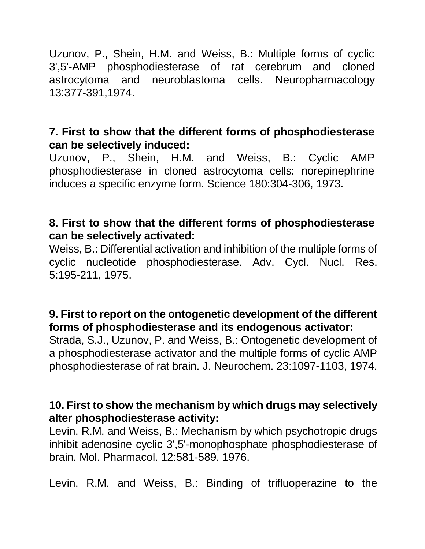Uzunov, P., Shein, H.M. and Weiss, B.: Multiple forms of cyclic 3',5'-AMP phosphodiesterase of rat cerebrum and cloned astrocytoma and neuroblastoma cells. Neuropharmacology 13:377-391,1974.

## **7. First to show that the different forms of phosphodiesterase can be selectively induced:**

Uzunov, P., Shein, H.M. and Weiss, B.: Cyclic AMP phosphodiesterase in cloned astrocytoma cells: norepinephrine induces a specific enzyme form. Science 180:304-306, 1973.

## **8. First to show that the different forms of phosphodiesterase can be selectively activated:**

Weiss, B.: Differential activation and inhibition of the multiple forms of cyclic nucleotide phosphodiesterase. Adv. Cycl. Nucl. Res. 5:195-211, 1975.

## **9. First to report on the ontogenetic development of the different forms of phosphodiesterase and its endogenous activator:**

Strada, S.J., Uzunov, P. and Weiss, B.: Ontogenetic development of a phosphodiesterase activator and the multiple forms of cyclic AMP phosphodiesterase of rat brain. J. Neurochem. 23:1097-1103, 1974.

## **10. First to show the mechanism by which drugs may selectively alter phosphodiesterase activity:**

Levin, R.M. and Weiss, B.: Mechanism by which psychotropic drugs inhibit adenosine cyclic 3',5'-monophosphate phosphodiesterase of brain. Mol. Pharmacol. 12:581-589, 1976.

Levin, R.M. and Weiss, B.: Binding of trifluoperazine to the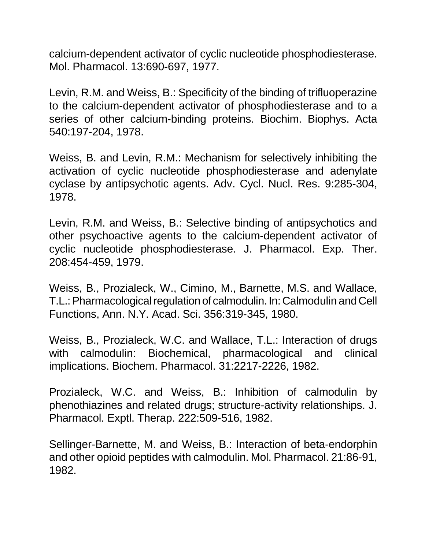calcium-dependent activator of cyclic nucleotide phosphodiesterase. Mol. Pharmacol. 13:690-697, 1977.

Levin, R.M. and Weiss, B.: Specificity of the binding of trifluoperazine to the calcium-dependent activator of phosphodiesterase and to a series of other calcium-binding proteins. Biochim. Biophys. Acta 540:197-204, 1978.

Weiss, B. and Levin, R.M.: Mechanism for selectively inhibiting the activation of cyclic nucleotide phosphodiesterase and adenylate cyclase by antipsychotic agents. Adv. Cycl. Nucl. Res. 9:285-304, 1978.

Levin, R.M. and Weiss, B.: Selective binding of antipsychotics and other psychoactive agents to the calcium-dependent activator of cyclic nucleotide phosphodiesterase. J. Pharmacol. Exp. Ther. 208:454-459, 1979.

Weiss, B., Prozialeck, W., Cimino, M., Barnette, M.S. and Wallace, T.L.: Pharmacological regulation of calmodulin. In: Calmodulin and Cell Functions, Ann. N.Y. Acad. Sci. 356:319-345, 1980.

Weiss, B., Prozialeck, W.C. and Wallace, T.L.: Interaction of drugs with calmodulin: Biochemical, pharmacological and clinical implications. Biochem. Pharmacol. 31:2217-2226, 1982.

Prozialeck, W.C. and Weiss, B.: Inhibition of calmodulin by phenothiazines and related drugs; structure-activity relationships. J. Pharmacol. Exptl. Therap. 222:509-516, 1982.

Sellinger-Barnette, M. and Weiss, B.: Interaction of beta-endorphin and other opioid peptides with calmodulin. Mol. Pharmacol. 21:86-91, 1982.